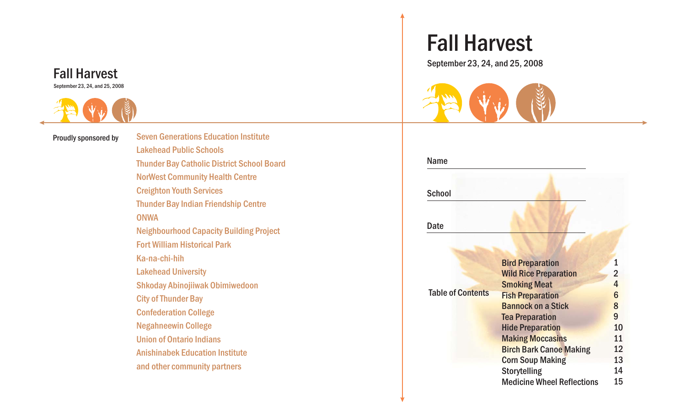#### Fall Harvest September 23, 24, and 25, 2008



Proudly sponsored by

Seven Generations Education InstituteLakehead Public SchoolsThunder Bay Catholic District School Board NorWest Community Health Centre Creighton Youth Services Thunder Bay Indian Friendship Centre **ONWA** Neighbourhood Capacity Building Project Fort William Historical Park Ka-na-chi-hihLakehead University Shkoday Abinojiiwak Obimiwedoon City of Thunder Bay Confederation College Negahneewin College Union of Ontario IndiansAnishinabek Education Instituteand other community partners

# Fall Harvest

September 23, 24, and 25, 2008



| <b>Name</b>              |                                   |                 |
|--------------------------|-----------------------------------|-----------------|
| <b>School</b>            |                                   |                 |
| Date                     |                                   |                 |
|                          |                                   |                 |
|                          | <b>Bird Preparation</b>           | 1               |
|                          | <b>Wild Rice Preparation</b>      | $\overline{2}$  |
|                          | <b>Smoking Meat</b>               | 4               |
| <b>Table of Contents</b> | <b>Fish Preparation</b>           | $6\phantom{1}6$ |
|                          | <b>Bannock on a Stick</b>         | 8               |
|                          | <b>Tea Preparation</b>            | 9               |
|                          | <b>Hide Preparation</b>           | 10              |
|                          | <b>Making Moccasins</b>           | 11              |
|                          | <b>Birch Bark Canoe Making</b>    | 12              |
|                          | <b>Corn Soup Making</b>           | 13              |
|                          | <b>Storytelling</b>               | 14              |
|                          | <b>Medicine Wheel Reflections</b> | 15              |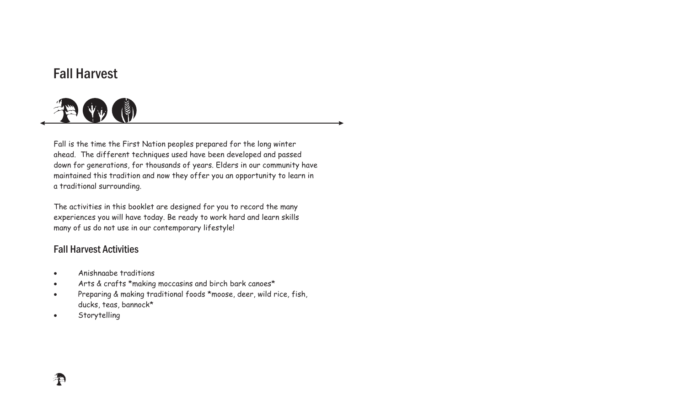## Fall Harvest



Fall is the time the First Nation peoples prepared for the long winter ahead. The different techniques used have been developed and passed down for generations, for thousands of years. Elders in our community have maintained this tradition and now they offer you an opportunity to learn in <sup>a</sup> traditional surrounding.

The activities in this booklet are designed for you to record the many experiences you will have today. Be ready to work hard and learn skills many of us do not use in our contemporary lifestyle!

### Fall Harvest Activities

- Anishnaabe traditions $\bullet$
- Arts & crafts \*making moccasins and birch bark canoes\*  $\bullet$
- Preparing & making traditional foods \*moose, deer, wild rice, fish, ducks, teas, bannock\*  $\bullet$
- -Storytelling

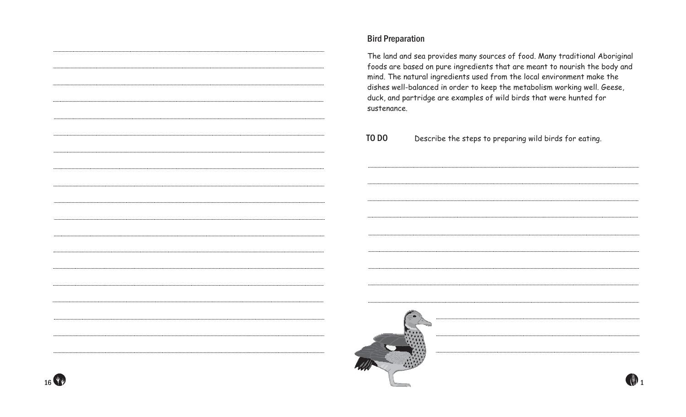#### Bird Preparation

The land and sea provides many sources of food. Many traditional Aboriginal foods are based on pure ingredients that are meant to nourish the body and mind. The natural ingredients used from the local environment make the dishes well-balanced in order to keep the metabolism working well. Geese, duck, and partridge are examples of wild birds that were hunted for sustenance.

TO DODescribe the steps to preparing wild birds for eating.



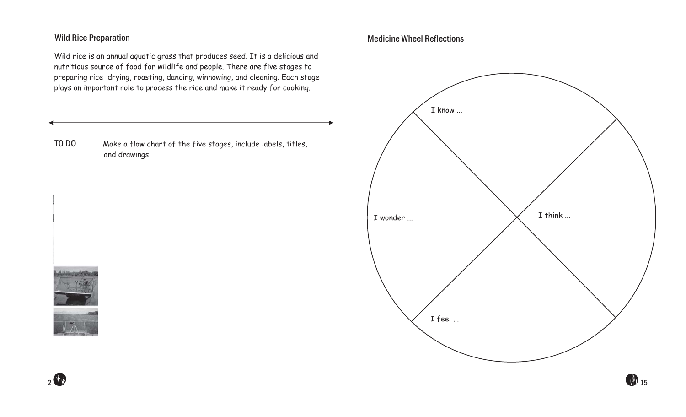#### Wild Rice Preparation

Wild rice is an annual aquatic grass that produces seed. It is <sup>a</sup> delicious and nutritious source of food for wildlife and people. There are five stages to preparing rice drying, roasting, dancing, winnowing, and cleaning. Each stage plays an important role to process the rice and make it ready for cooking.

TO DO Make <sup>a</sup> flow chart of the five stages, include labels, titles, and drawings.

2

#### Medicine Wheel Reflections

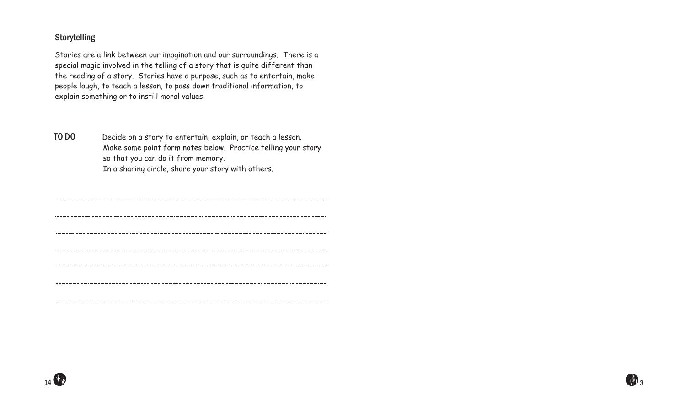#### **Storytelling**

Stories are <sup>a</sup> link between our imagination and our surroundings. There is <sup>a</sup> special magic involved in the telling of <sup>a</sup> story that is quite different than the reading of <sup>a</sup> story. Stories have <sup>a</sup> purpose, such as to entertain, make people laugh, to teach <sup>a</sup> lesson, to pass down traditional information, to explain something or to instill moral values.

TO DO Decide on <sup>a</sup> story to entertain, explain, or teach <sup>a</sup> lesson. Make some point form notes below. Practice telling your story so that you can do it from memory. In <sup>a</sup> sharing circle, share your story with others.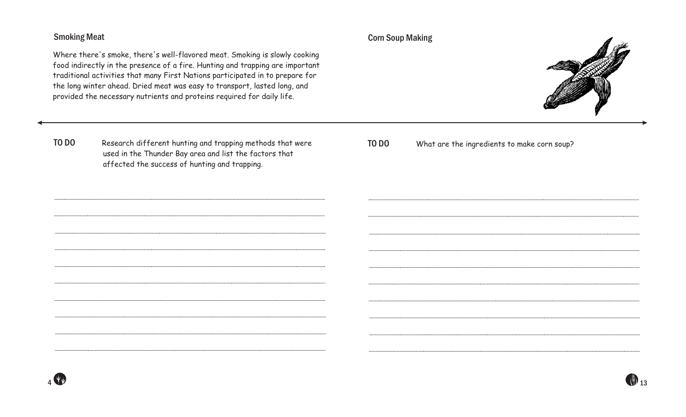#### Smoking Meat

Where there's smoke, there's well-flavored meat. Smoking is slowly cooking food indirectly in the presence of <sup>a</sup> fire. Hunting and trapping are important traditional activities that many First Nations participated in to prepare for the long winter ahead. Dried meat was easy to transport, lasted long, and provided the necessary nutrients and proteins required for daily life.

Corn Soup Making



TO DO Research different hunting and trapping methods that were used in the Thunder Bay area and list the factors that affected the success of hunting and trapping.

TO DOWhat are the ingredients to make corn soup?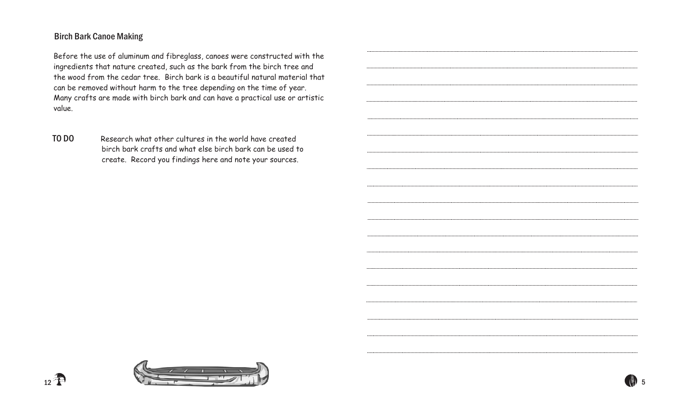#### Birch Bark Canoe Making

 $12 \frac{4}{12}$ 

Before the use of aluminum and fibreglass, canoes were constructed with the ingredients that nature created, such as the bark from the birch tree and the wood from the cedar tree. Birch bark is <sup>a</sup> beautiful natural material that can be removed without harm to the tree depending on the time of year. Many crafts are made with birch bark and can have <sup>a</sup> practical use or artistic value.

TO DO Research what other cultures in the world have createdbirch bark crafts and what else birch bark can be used to create. Record you findings here and note your sources.

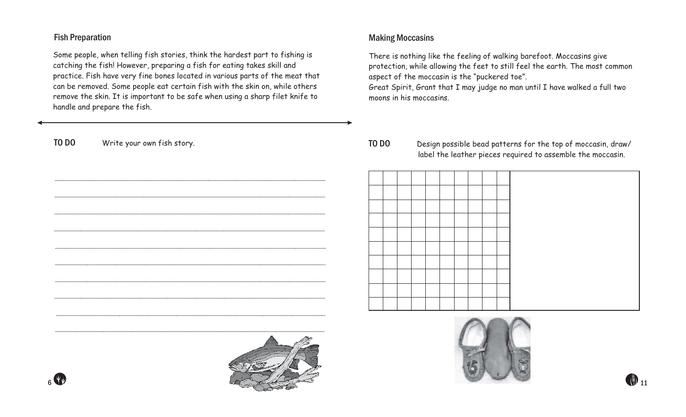#### Fish Preparation

Some people, when telling fish stories, think the hardest par<sup>t</sup> to fishing is catching the fish! However, preparing <sup>a</sup> fish for eating takes skill and practice. Fish have very fine bones located in various parts of the meat that can be removed. Some people eat certain fish with the skin on, while others remove the skin. It is important to be safe when using <sup>a</sup> sharp filet knife to handle and prepare the fish.

#### Making Moccasins

There is nothing like the feeling of walking barefoot. Moccasins give protection, while allowing the feet to still feel the earth. The most common aspec<sup>t</sup> of the moccasin is the "puckered toe".

Great Spirit, Grant that <sup>I</sup> may judge no man until <sup>I</sup> have walked <sup>a</sup> full two moons in his moccasins.

#### TO DO Design possible bead patterns for the top of moccasin, draw/ label the leather pieces required to assemble the moccasin.





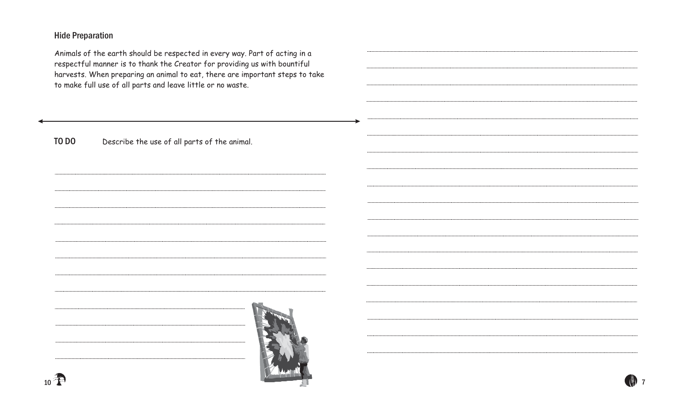#### Hide Preparation

Animals of the earth should be respected in every way. Part of acting in <sup>a</sup> respectful manner is to thank the Creator for providing us with bountiful harvests. When preparing an animal to eat, there are important steps to take to make full use of all parts and leave little or no waste.

TO DODescribe the use of all parts of the animal.